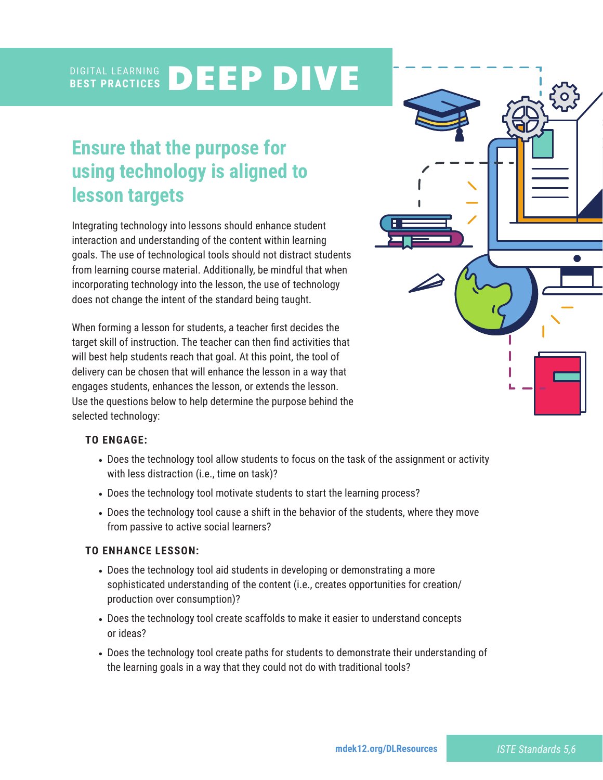#### DIGITAL LEARNING **BEST PRACTICES** DEEP DIVE

# **Ensure that the purpose for using technology is aligned to lesson targets**

Integrating technology into lessons should enhance student interaction and understanding of the content within learning goals. The use of technological tools should not distract students from learning course material. Additionally, be mindful that when incorporating technology into the lesson, the use of technology does not change the intent of the standard being taught.

When forming a lesson for students, a teacher first decides the target skill of instruction. The teacher can then find activities that will best help students reach that goal. At this point, the tool of delivery can be chosen that will enhance the lesson in a way that engages students, enhances the lesson, or extends the lesson. Use the questions below to help determine the purpose behind the selected technology:



### **TO ENGAGE:**

- Does the technology tool allow students to focus on the task of the assignment or activity with less distraction (i.e., time on task)?
- Does the technology tool motivate students to start the learning process?
- Does the technology tool cause a shift in the behavior of the students, where they move from passive to active social learners?

### **TO ENHANCE LESSON:**

- Does the technology tool aid students in developing or demonstrating a more sophisticated understanding of the content (i.e., creates opportunities for creation/ production over consumption)?
- Does the technology tool create scaffolds to make it easier to understand concepts or ideas?
- Does the technology tool create paths for students to demonstrate their understanding of the learning goals in a way that they could not do with traditional tools?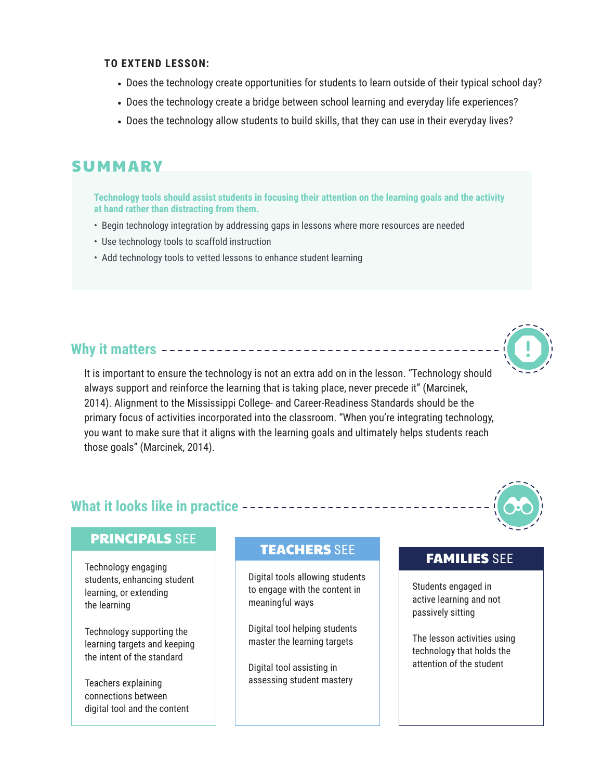#### **TO EXTEND LESSON:**

- Does the technology create opportunities for students to learn outside of their typical school day?
- Does the technology create a bridge between school learning and everyday life experiences?
- Does the technology allow students to build skills, that they can use in their everyday lives?

# **SUMMARY**

**Technology tools should assist students in focusing their attention on the learning goals and the activity at hand rather than distracting from them.** 

- Begin technology integration by addressing gaps in lessons where more resources are needed
- Use technology tools to scaffold instruction
- Add technology tools to vetted lessons to enhance student learning

# **Why it matters**

It is important to ensure the technology is not an extra add on in the lesson. "Technology should always support and reinforce the learning that is taking place, never precede it" (Marcinek, 2014). Alignment to the Mississippi College- and Career-Readiness Standards should be the primary focus of activities incorporated into the classroom. "When you're integrating technology, you want to make sure that it aligns with the learning goals and ultimately helps students reach those goals" (Marcinek, 2014).

# **What it looks like in practice**

## PRINCIPALS SEE

Technology engaging students, enhancing student learning, or extending the learning

Technology supporting the learning targets and keeping the intent of the standard

Teachers explaining connections between digital tool and the content

# TEACHERS SEE TEAMILIES SEE

Digital tools allowing students to engage with the content in meaningful ways

Digital tool helping students master the learning targets

Digital tool assisting in assessing student mastery

Students engaged in active learning and not passively sitting

The lesson activities using technology that holds the attention of the student